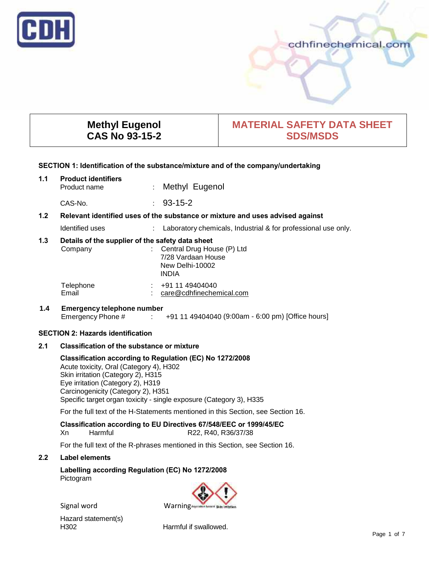

# cdhfinechemical.com

# **Methyl Eugenol CAS No 93-15-2**

# **MATERIAL SAFETY DATA SHEET SDS/MSDS**

# **SECTION 1: Identification of the substance/mixture and of the company/undertaking**

| 1.1                                                                                               | <b>Product identifiers</b><br>Product name                  | $\mathbb{R}^n$      | Methyl Eugenol                                                                      |
|---------------------------------------------------------------------------------------------------|-------------------------------------------------------------|---------------------|-------------------------------------------------------------------------------------|
|                                                                                                   | CAS-No.                                                     | $\sigma_{\rm{max}}$ | $93 - 15 - 2$                                                                       |
| 1.2 <sub>2</sub><br>Relevant identified uses of the substance or mixture and uses advised against |                                                             |                     |                                                                                     |
|                                                                                                   | Identified uses                                             |                     | Laboratory chemicals, Industrial & for professional use only.                       |
| 1.3                                                                                               | Details of the supplier of the safety data sheet<br>Company |                     | Central Drug House (P) Ltd<br>7/28 Vardaan House<br>New Delhi-10002<br><b>INDIA</b> |
|                                                                                                   | Telephone<br>Email                                          |                     | +91 11 49404040<br>care@cdhfinechemical.com                                         |
| 1.4                                                                                               | <b>Emergency telephone number</b>                           |                     |                                                                                     |

Emergency Phone # : +91 11 49404040 (9:00am - 6:00 pm) [Office hours]

# **SECTION 2: Hazards identification**

# **2.1 Classification of the substance or mixture**

# **Classification according to Regulation (EC) No 1272/2008**

Acute toxicity, Oral (Category 4), H302 Skin irritation (Category 2), H315 Eye irritation (Category 2), H319 Carcinogenicity (Category 2), H351 Specific target organ toxicity - single exposure (Category 3), H335

For the full text of the H-Statements mentioned in this Section, see Section 16.

# **Classification according to EU Directives 67/548/EEC or 1999/45/EC**

Xn Harmful R22, R40, R36/37/38

For the full text of the R-phrases mentioned in this Section, see Section 16.

#### **2.2 Label elements**

**Labelling according Regulation (EC) No 1272/2008** Pictogram

Signal word Warning



Hazard statement(s)<br>H302

Harmful if swallowed.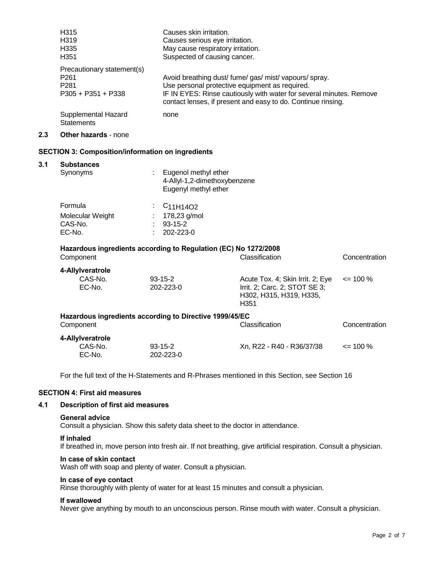| H315                              | Causes skin irritation.                                                                                                             |
|-----------------------------------|-------------------------------------------------------------------------------------------------------------------------------------|
| H319                              | Causes serious eye irritation.                                                                                                      |
| H335                              | May cause respiratory irritation.                                                                                                   |
| H351                              | Suspected of causing cancer.                                                                                                        |
| Precautionary statement(s)        |                                                                                                                                     |
| P261                              | Avoid breathing dust/ fume/ gas/ mist/ vapours/ spray.                                                                              |
| P281                              | Use personal protective equipment as required.                                                                                      |
| P305 + P351 + P338                | IF IN EYES: Rinse cautiously with water for several minutes. Remove<br>contact lenses, if present and easy to do. Continue rinsing. |
| Supplemental Hazard<br>Statements | none                                                                                                                                |

# **2.3 Other hazards** - none

#### **SECTION 3: Composition/information on ingredients**

# **3.1 Substances**

| Synonyms         | Eugenol methyl ether<br>4-Allyl-1,2-dimethoxybenzene<br>Eugenyl methyl ether |
|------------------|------------------------------------------------------------------------------|
| Formula          | $\frac{1}{2}$ C <sub>11</sub> H <sub>14</sub> O <sub>2</sub>                 |
| Molecular Weight | 178,23 g/mol                                                                 |
| CAS-No.          | $93 - 15 - 2$                                                                |
| EC-No.           | 202-223-0                                                                    |

# **Hazardous ingredients according to Regulation (EC) No 1272/2008** Component Classification Concentration

| 4-Allylveratrole  |                                                         |                                                                                                      |               |
|-------------------|---------------------------------------------------------|------------------------------------------------------------------------------------------------------|---------------|
| CAS-No.<br>EC-No. | $93 - 15 - 2$<br>202-223-0                              | Acute Tox. 4; Skin Irrit. 2; Eye<br>Irrit. 2; Carc. 2; STOT SE 3;<br>H302, H315, H319, H335,<br>H351 | $\leq$ 100 %  |
|                   | Hazardous ingredients according to Directive 1999/45/EC |                                                                                                      |               |
| Component         |                                                         | Classification                                                                                       | Concentration |
| 4-Allylveratrole  |                                                         |                                                                                                      |               |
| CAS-No.<br>FC-No  | $93 - 15 - 2$<br>$202-223-0$                            | Xn, R22 - R40 - R36/37/38                                                                            | $\leq$ 100 %  |

For the full text of the H-Statements and R-Phrases mentioned in this Section, see Section 16

# **SECTION 4: First aid measures**

# **4.1 Description of first aid measures**

EC-No. 202-223-0

#### **General advice**

Consult a physician. Show this safety data sheet to the doctor in attendance.

#### **If inhaled**

If breathed in, move person into fresh air. If not breathing, give artificial respiration. Consult a physician.

#### **In case of skin contact**

Wash off with soap and plenty of water. Consult a physician.

#### **In case of eye contact**

Rinse thoroughly with plenty of water for at least 15 minutes and consult a physician.

#### **If swallowed**

Never give anything by mouth to an unconscious person. Rinse mouth with water. Consult a physician.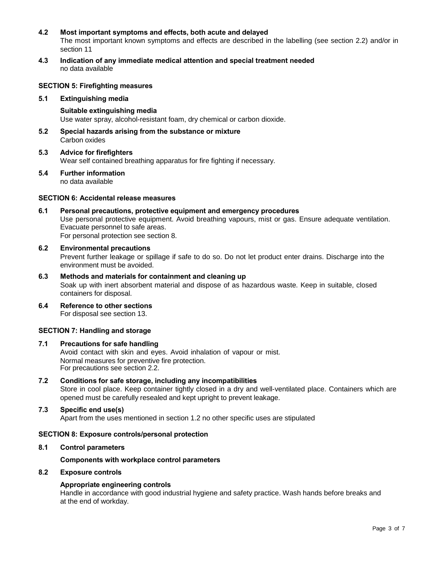## **4.2 Most important symptoms and effects, both acute and delayed**

The most important known symptoms and effects are described in the labelling (see section 2.2) and/or in section 11

**4.3 Indication of any immediate medical attention and special treatment needed** no data available

#### **SECTION 5: Firefighting measures**

**5.1 Extinguishing media**

**Suitable extinguishing media** Use water spray, alcohol-resistant foam, dry chemical or carbon dioxide.

- **5.2 Special hazards arising from the substance or mixture** Carbon oxides
- **5.3 Advice for firefighters** Wear self contained breathing apparatus for fire fighting if necessary.
- **5.4 Further information** no data available

#### **SECTION 6: Accidental release measures**

**6.1 Personal precautions, protective equipment and emergency procedures** Use personal protective equipment. Avoid breathing vapours, mist or gas. Ensure adequate ventilation. Evacuate personnel to safe areas. For personal protection see section 8.

# **6.2 Environmental precautions**

Prevent further leakage or spillage if safe to do so. Do not let product enter drains. Discharge into the environment must be avoided.

- **6.3 Methods and materials for containment and cleaning up** Soak up with inert absorbent material and dispose of as hazardous waste. Keep in suitable, closed containers for disposal.
- **6.4 Reference to other sections** For disposal see section 13.

# **SECTION 7: Handling and storage**

- **7.1 Precautions for safe handling** Avoid contact with skin and eyes. Avoid inhalation of vapour or mist. Normal measures for preventive fire protection. For precautions see section 2.2.
- **7.2 Conditions for safe storage, including any incompatibilities** Store in cool place. Keep container tightly closed in a dry and well-ventilated place. Containers which are opened must be carefully resealed and kept upright to prevent leakage.

# **7.3 Specific end use(s)**

Apart from the uses mentioned in section 1.2 no other specific uses are stipulated

#### **SECTION 8: Exposure controls/personal protection**

**8.1 Control parameters**

**Components with workplace control parameters**

# **8.2 Exposure controls**

# **Appropriate engineering controls**

Handle in accordance with good industrial hygiene and safety practice. Wash hands before breaks and at the end of workday.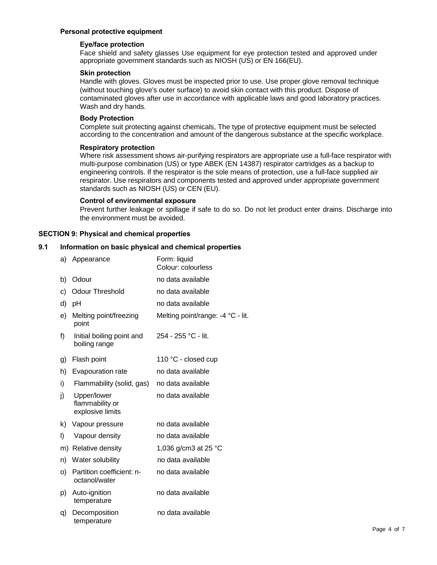# **Personal protective equipment**

#### **Eye/face protection**

Face shield and safety glasses Use equipment for eye protection tested and approved under appropriate government standards such as NIOSH (US) or EN 166(EU).

#### **Skin protection**

Handle with gloves. Gloves must be inspected prior to use. Use proper glove removal technique (without touching glove's outer surface) to avoid skin contact with this product. Dispose of contaminated gloves after use in accordance with applicable laws and good laboratory practices. Wash and dry hands.

#### **Body Protection**

Complete suit protecting against chemicals, The type of protective equipment must be selected according to the concentration and amount of the dangerous substance at the specific workplace.

# **Respiratory protection**

Where risk assessment shows air-purifying respirators are appropriate use a full-face respirator with multi-purpose combination (US) or type ABEK (EN 14387) respirator cartridges as a backup to engineering controls. If the respirator is the sole means of protection, use a full-face supplied air respirator. Use respirators and components tested and approved under appropriate government standards such as NIOSH (US) or CEN (EU).

#### **Control of environmental exposure**

Prevent further leakage or spillage if safe to do so. Do not let product enter drains. Discharge into the environment must be avoided.

#### **SECTION 9: Physical and chemical properties**

#### **9.1 Information on basic physical and chemical properties**

| a) | Appearance                                         | Form: liquid<br>Colour: colourless |
|----|----------------------------------------------------|------------------------------------|
| b) | Odour                                              | no data available                  |
| c) | <b>Odour Threshold</b>                             | no data available                  |
| d) | pH                                                 | no data available                  |
| e) | Melting point/freezing<br>point                    | Melting point/range: -4 °C - lit.  |
| f) | Initial boiling point and<br>boiling range         | 254 - 255 °C - lit.                |
| g) | Flash point                                        | 110 °C - closed cup                |
| h) | Evapouration rate                                  | no data available                  |
| i) | Flammability (solid, gas)                          | no data available                  |
| j) | Upper/lower<br>flammability or<br>explosive limits | no data available                  |
| k) | Vapour pressure                                    | no data available                  |
| I) | Vapour density                                     | no data available                  |
|    | m) Relative density                                | 1,036 g/cm3 at 25 °C               |
| n) | Water solubility                                   | no data available                  |
| O) | Partition coefficient: n-<br>octanol/water         | no data available                  |
| p) | Auto-ignition<br>temperature                       | no data available                  |
| q) | Decomposition<br>temperature                       | no data available                  |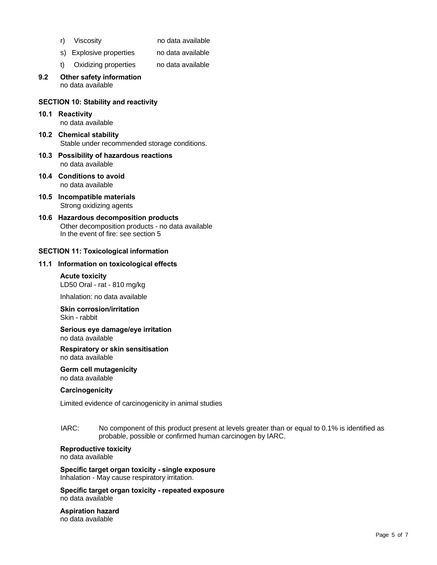- 
- r) Viscosity no data available
- s) Explosive properties no data available
- t) Oxidizing properties no data available
- **9.2 Other safety information** no data available

# **SECTION 10: Stability and reactivity**

- **10.1 Reactivity** no data available
- **10.2 Chemical stability** Stable under recommended storage conditions.
- **10.3 Possibility of hazardous reactions** no data available
- **10.4 Conditions to avoid** no data available
- **10.5 Incompatible materials** Strong oxidizing agents
- **10.6 Hazardous decomposition products** Other decomposition products - no data available In the event of fire: see section 5

# **SECTION 11: Toxicological information**

#### **11.1 Information on toxicological effects**

**Acute toxicity** LD50 Oral - rat - 810 mg/kg

Inhalation: no data available

# **Skin corrosion/irritation** Skin - rabbit

#### **Serious eye damage/eye irritation** no data available

**Respiratory or skin sensitisation** no data available

**Germ cell mutagenicity** no data available

#### **Carcinogenicity**

Limited evidence of carcinogenicity in animal studies

IARC: No component of this product present at levels greater than or equal to 0.1% is identified as probable, possible or confirmed human carcinogen by IARC.

#### **Reproductive toxicity** no data available

**Specific target organ toxicity - single exposure** Inhalation - May cause respiratory irritation.

**Specific target organ toxicity - repeated exposure** no data available

#### **Aspiration hazard** no data available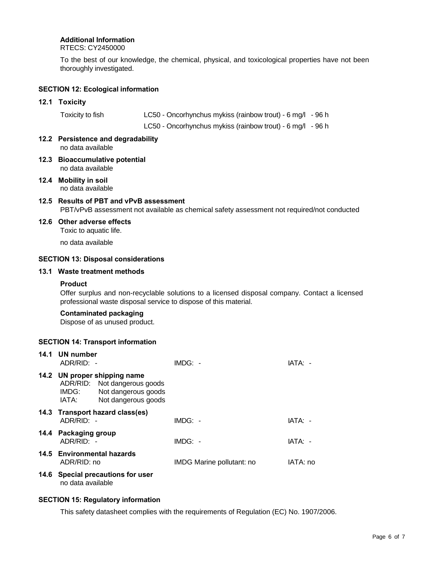# **Additional Information**

RTECS: CY2450000

To the best of our knowledge, the chemical, physical, and toxicological properties have not been thoroughly investigated.

# **SECTION 12: Ecological information**

#### **12.1 Toxicity**

| Toxicity to fish | LC50 - Oncorhynchus mykiss (rainbow trout) - 6 mg/l - 96 h |  |
|------------------|------------------------------------------------------------|--|
|                  | LC50 - Oncorhynchus mykiss (rainbow trout) - 6 mg/l - 96 h |  |

- **12.2 Persistence and degradability** no data available
- **12.3 Bioaccumulative potential** no data available
- **12.4 Mobility in soil** no data available

# **12.5 Results of PBT and vPvB assessment** PBT/vPvB assessment not available as chemical safety assessment not required/not conducted

**12.6 Other adverse effects**

Toxic to aquatic life.

no data available

# **SECTION 13: Disposal considerations**

# **13.1 Waste treatment methods**

#### **Product**

Offer surplus and non-recyclable solutions to a licensed disposal company. Contact a licensed professional waste disposal service to dispose of this material.

# **Contaminated packaging**

Dispose of as unused product.

# **SECTION 14: Transport information**

| 14.1 | UN number<br>ADR/RID: -                                                        |                                            | $IMDG: -$ |                           | IATA: -  |
|------|--------------------------------------------------------------------------------|--------------------------------------------|-----------|---------------------------|----------|
|      | 14.2 UN proper shipping name<br>ADR/RID: Not dangerous goods<br>IMDG:<br>IATA: | Not dangerous goods<br>Not dangerous goods |           |                           |          |
|      | 14.3 Transport hazard class(es)<br>ADR/RID: -                                  |                                            | $IMDG: -$ |                           | IATA: -  |
|      | 14.4 Packaging group<br>ADR/RID: -                                             |                                            | $IMDG: -$ |                           | IATA: -  |
|      | 14.5 Environmental hazards<br>ADR/RID: no                                      |                                            |           | IMDG Marine pollutant: no | IATA: no |
|      | 14.6 Special precautions for user                                              |                                            |           |                           |          |

no data available

#### **SECTION 15: Regulatory information**

This safety datasheet complies with the requirements of Regulation (EC) No. 1907/2006.